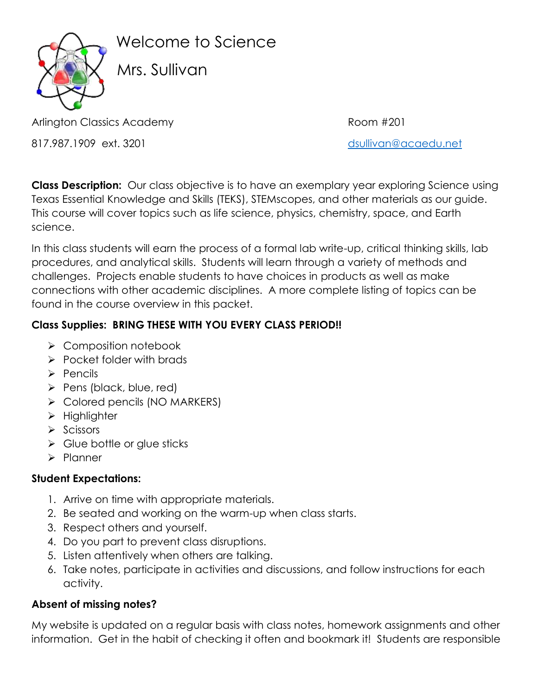

Welcome to Science

Mrs. Sullivan

Arlington Classics Academy **Room #201** Room #201

817.987.1909 ext. 3201

**Class Description:** Our class objective is to have an exemplary year exploring Science using Texas Essential Knowledge and Skills (TEKS), STEMscopes, and other materials as our guide. This course will cover topics such as life science, physics, chemistry, space, and Earth science.

In this class students will earn the process of a formal lab write-up, critical thinking skills, lab procedures, and analytical skills. Students will learn through a variety of methods and challenges. Projects enable students to have choices in products as well as make connections with other academic disciplines. A more complete listing of topics can be found in the course overview in this packet.

# **Class Supplies: BRING THESE WITH YOU EVERY CLASS PERIOD!!**

- ➢ Composition notebook
- ➢ Pocket folder with brads
- ➢ Pencils
- ➢ Pens (black, blue, red)
- ➢ Colored pencils (NO MARKERS)
- ➢ Highlighter
- ➢ Scissors
- $\triangleright$  Glue bottle or glue sticks
- ➢ Planner

## **Student Expectations:**

- 1. Arrive on time with appropriate materials.
- 2. Be seated and working on the warm-up when class starts.
- 3. Respect others and yourself.
- 4. Do you part to prevent class disruptions.
- 5. Listen attentively when others are talking.
- 6. Take notes, participate in activities and discussions, and follow instructions for each activity.

# **Absent of missing notes?**

My website is updated on a regular basis with class notes, homework assignments and other information. Get in the habit of checking it often and bookmark it! Students are responsible